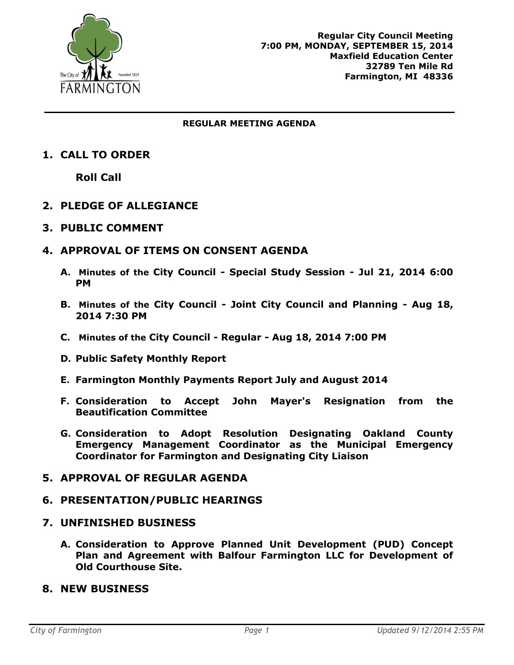

#### **REGULAR MEETING AGENDA**

# **1. CALL TO ORDER**

**Roll Call**

# **2. PLEDGE OF ALLEGIANCE**

#### **3. PUBLIC COMMENT**

### **4. APPROVAL OF ITEMS ON CONSENT AGENDA**

- **A. Minutes of the City Council - Special Study Session - Jul 21, 2014 6:00 PM**
- **B. Minutes of the City Council - Joint City Council and Planning - Aug 18, 2014 7:30 PM**
- **C. Minutes of the City Council - Regular - Aug 18, 2014 7:00 PM**
- **D. Public Safety Monthly Report**
- **E. Farmington Monthly Payments Report July and August 2014**
- **F. Consideration to Accept John Mayer's Resignation from the Beautification Committee**
- **G. Consideration to Adopt Resolution Designating Oakland County Emergency Management Coordinator as the Municipal Emergency Coordinator for Farmington and Designating City Liaison**

### **5. APPROVAL OF REGULAR AGENDA**

### **6. PRESENTATION/PUBLIC HEARINGS**

#### **7. UNFINISHED BUSINESS**

- **A. Consideration to Approve Planned Unit Development (PUD) Concept Plan and Agreement with Balfour Farmington LLC for Development of Old Courthouse Site.**
- **8. NEW BUSINESS**